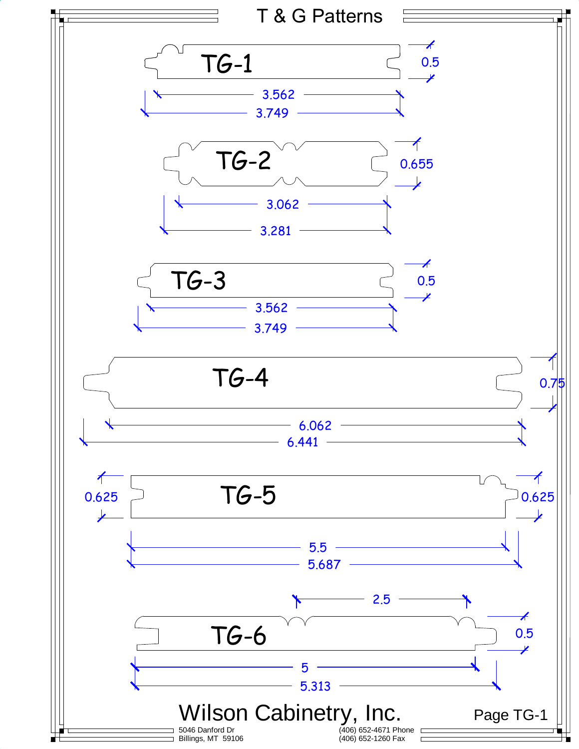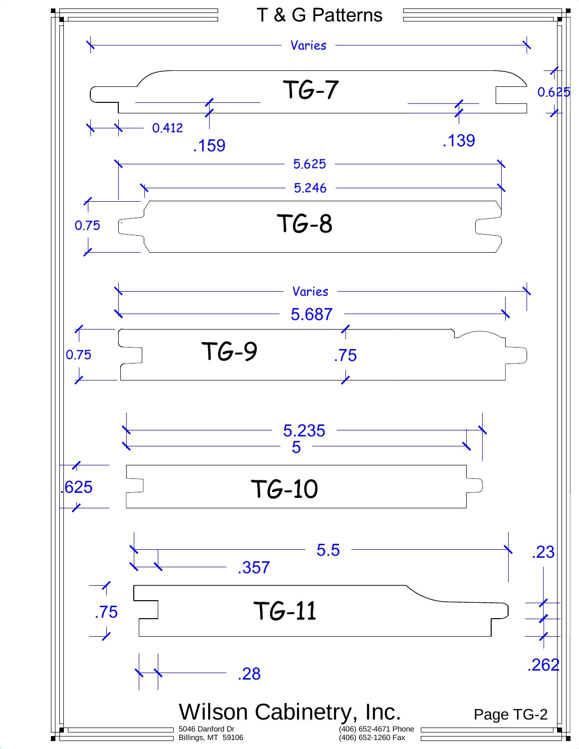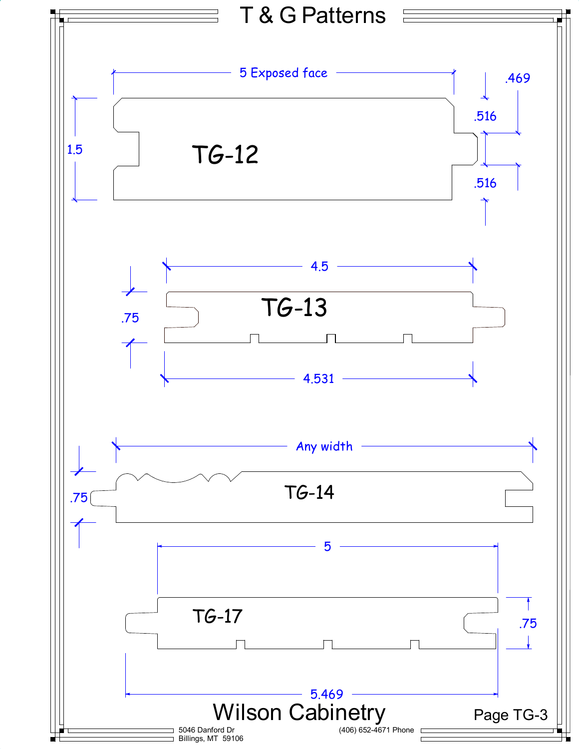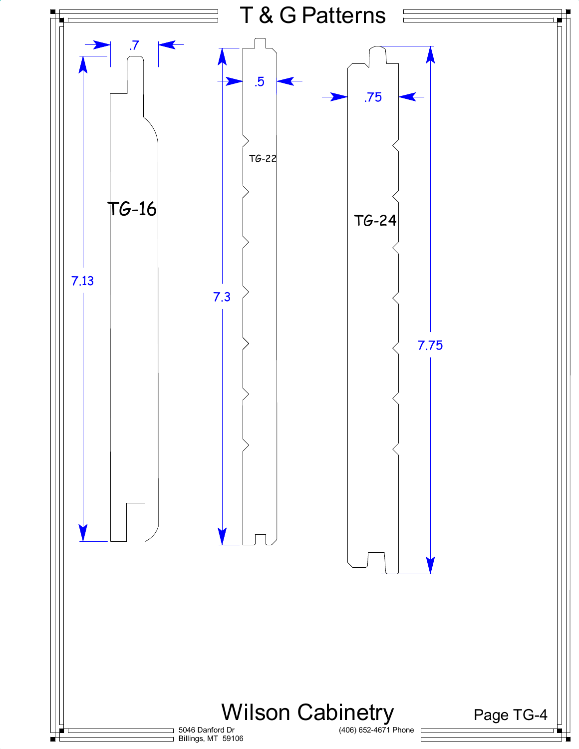